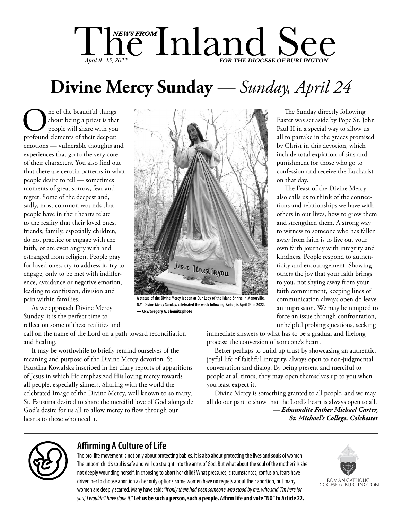# The Inland See *April* 9–15, 202

# **Divine Mercy Sunday** *— Sunday, April 24*

**O** ne of the beautiful things<br>people will share with you<br>profound elements of their deepest about being a priest is that people will share with you emotions — vulnerable thoughts and experiences that go to the very core of their characters. You also find out that there are certain patterns in what people desire to tell — sometimes moments of great sorrow, fear and regret. Some of the deepest and, sadly, most common wounds that people have in their hearts relate to the reality that their loved ones, friends, family, especially children, do not practice or engage with the faith, or are even angry with and estranged from religion. People pray for loved ones, try to address it, try to engage, only to be met with indifference, avoidance or negative emotion, leading to confusion, division and pain within families.

As we approach Divine Mercy Sunday, it is the perfect time to reflect on some of these realities and

call on the name of the Lord on a path toward reconciliation and healing.

It may be worthwhile to briefly remind ourselves of the meaning and purpose of the Divine Mercy devotion. St. Faustina Kowalska inscribed in her diary reports of apparitions of Jesus in which He emphasized His loving mercy towards all people, especially sinners. Sharing with the world the celebrated Image of the Divine Mercy, well known to so many, St. Faustina desired to share the merciful love of God alongside God's desire for us all to allow mercy to flow through our hearts to those who need it.



**A statue of the Divine Mercy is seen at Our Lady of the Island Shrine in Manorville, N.Y.. Divine Mercy Sunday, celebrated the week following Easter, is April 24 in 2022.**  — CNS/Gregory A. Shemitz photo

The Sunday directly following Easter was set aside by Pope St. John Paul II in a special way to allow us all to partake in the graces promised by Christ in this devotion, which include total expiation of sins and punishment for those who go to confession and receive the Eucharist on that day.

The Feast of the Divine Mercy also calls us to think of the connections and relationships we have with others in our lives, how to grow them and strengthen them. A strong way to witness to someone who has fallen away from faith is to live out your own faith journey with integrity and kindness. People respond to authenticity and encouragement. Showing others the joy that your faith brings to you, not shying away from your faith commitment, keeping lines of communication always open do leave an impression. We may be tempted to force an issue through confrontation, unhelpful probing questions, seeking

immediate answers to what has to be a gradual and lifelong process: the conversion of someone's heart.

Better perhaps to build up trust by showcasing an authentic, joyful life of faithful integrity, always open to non-judgmental conversation and dialog. By being present and merciful to people at all times, they may open themselves up to you when you least expect it.

Divine Mercy is something granted to all people, and we may all do our part to show that the Lord's heart is always open to all. *— Edmundite Father Michael Carter, St. Michael's College, Colchester*



# **Affirming A Culture of Life**

The pro-life movement is not only about protecting babies. It is also about protecting the lives and souls of women. The unborn child's soul is safe and will go straight into the arms of God. But what about the soul of the mother? Is she not deeply wounding herself, in choosing to abort her child? What pressures, circumstances, confusion, fears have driven her to choose abortion as her only option? Some women have no regrets about their abortion, but many women are deeply scarred. Many have said: *"If only there had been someone who stood by me, who said 'I'm here for you,' I wouldn't have done it."***Let us be such a person, such a people. Affirm life and vote "NO" to Article 22.**